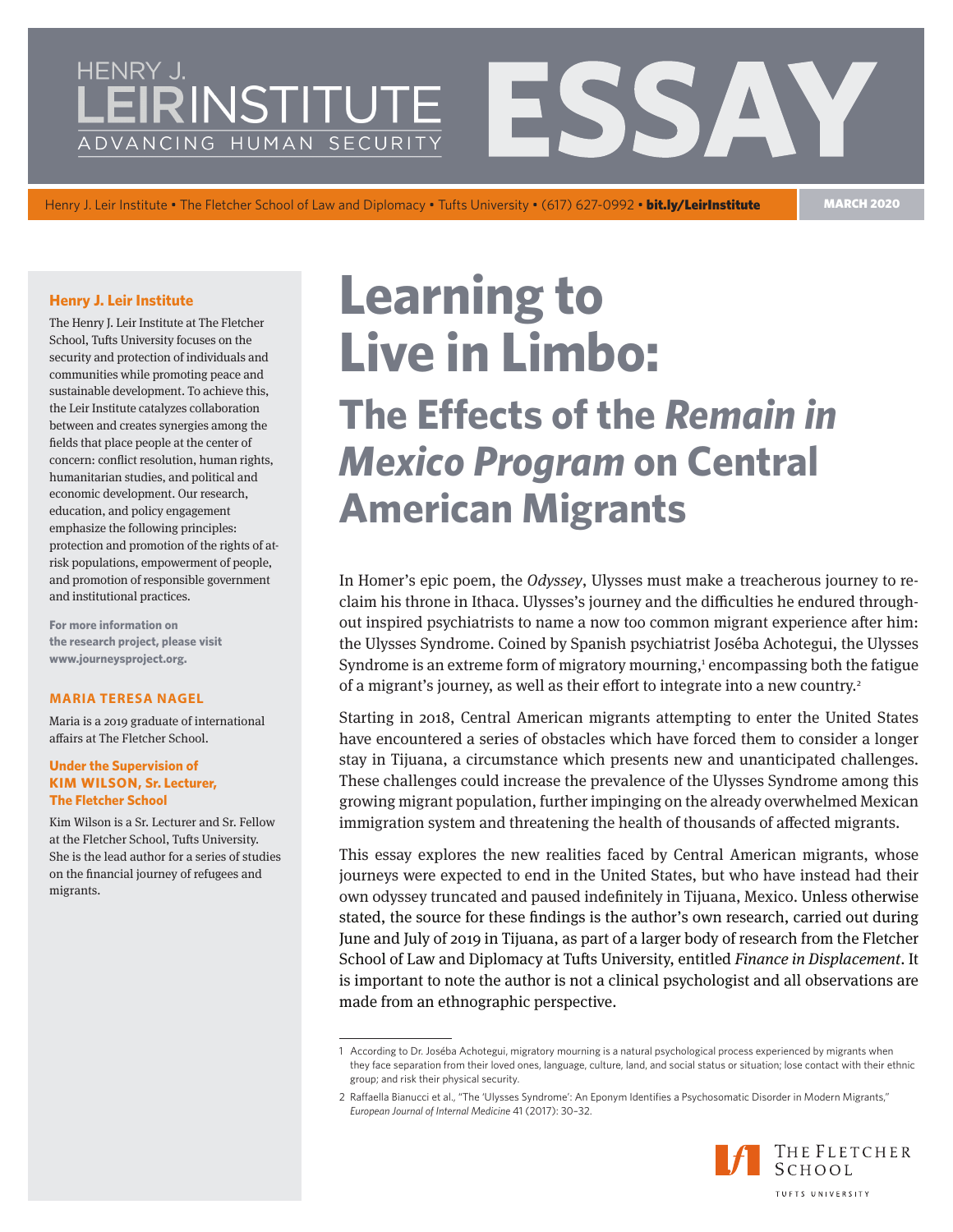## **IRINSTITUTE** ADVANCING HUMAN SECURITY

Henry J. Leir Institute • The Fletcher School of Law and Diplomacy • Tufts University • (617) 627-0992 • bit.ly/LeirInstitute MARCH 2020

### **Henry J. Leir Institute**

The Henry J. Leir Institute at The Fletcher School, Tufts University focuses on the security and protection of individuals and communities while promoting peace and sustainable development. To achieve this, the Leir Institute catalyzes collaboration between and creates synergies among the fields that place people at the center of concern: conflict resolution, human rights, humanitarian studies, and political and economic development. Our research, education, and policy engagement emphasize the following principles: protection and promotion of the rights of atrisk populations, empowerment of people, and promotion of responsible government and institutional practices.

**For more information on the research project, please visit www.journeysproject.org[.](https://sites.tufts.edu/ihs/transit-migration-in-the-americas/)**

#### **MARIA TERESA NAGEL**

Maria is a 2019 graduate of international affairs at The Fletcher School.

#### **Under the Supervision of KIM WILSON, Sr. Lecturer, The Fletcher School**

Kim Wilson is a Sr. Lecturer and Sr. Fellow at the Fletcher School, Tufts University. She is the lead author for a series of studies on the financial journey of refugees and migrants.

# **Learning to Live in Limbo:**

**The Effects of the** *Remain in Mexico Program* **on Central American Migrants**

In Homer's epic poem, the *Odyssey*, Ulysses must make a treacherous journey to reclaim his throne in Ithaca. Ulysses's journey and the difficulties he endured throughout inspired psychiatrists to name a now too common migrant experience after him: the Ulysses Syndrome. Coined by Spanish psychiatrist Joséba Achotegui, the Ulysses Syndrome is an extreme form of migratory mourning,<sup>1</sup> encompassing both the fatigue of a migrant's journey, as well as their effort to integrate into a new country.<sup>2</sup>

Starting in 2018, Central American migrants attempting to enter the United States have encountered a series of obstacles which have forced them to consider a longer stay in Tijuana, a circumstance which presents new and unanticipated challenges. These challenges could increase the prevalence of the Ulysses Syndrome among this growing migrant population, further impinging on the already overwhelmed Mexican immigration system and threatening the health of thousands of affected migrants.

This essay explores the new realities faced by Central American migrants, whose journeys were expected to end in the United States, but who have instead had their own odyssey truncated and paused indefinitely in Tijuana, Mexico. Unless otherwise stated, the source for these findings is the author's own research, carried out during June and July of 2019 in Tijuana, as part of a larger body of research from the Fletcher School of Law and Diplomacy at Tufts University, entitled *Finance in Displacement*. It is important to note the author is not a clinical psychologist and all observations are made from an ethnographic perspective.

<sup>2</sup> Raffaella Bianucci et al., "The 'Ulysses Syndrome': An Eponym Identifies a Psychosomatic Disorder in Modern Migrants," *European Journal of Internal Medicine* 41 (2017): 30–32.



<sup>1</sup> According to Dr. Joséba Achotegui, migratory mourning is a natural psychological process experienced by migrants when they face separation from their loved ones, language, culture, land, and social status or situation; lose contact with their ethnic group; and risk their physical security.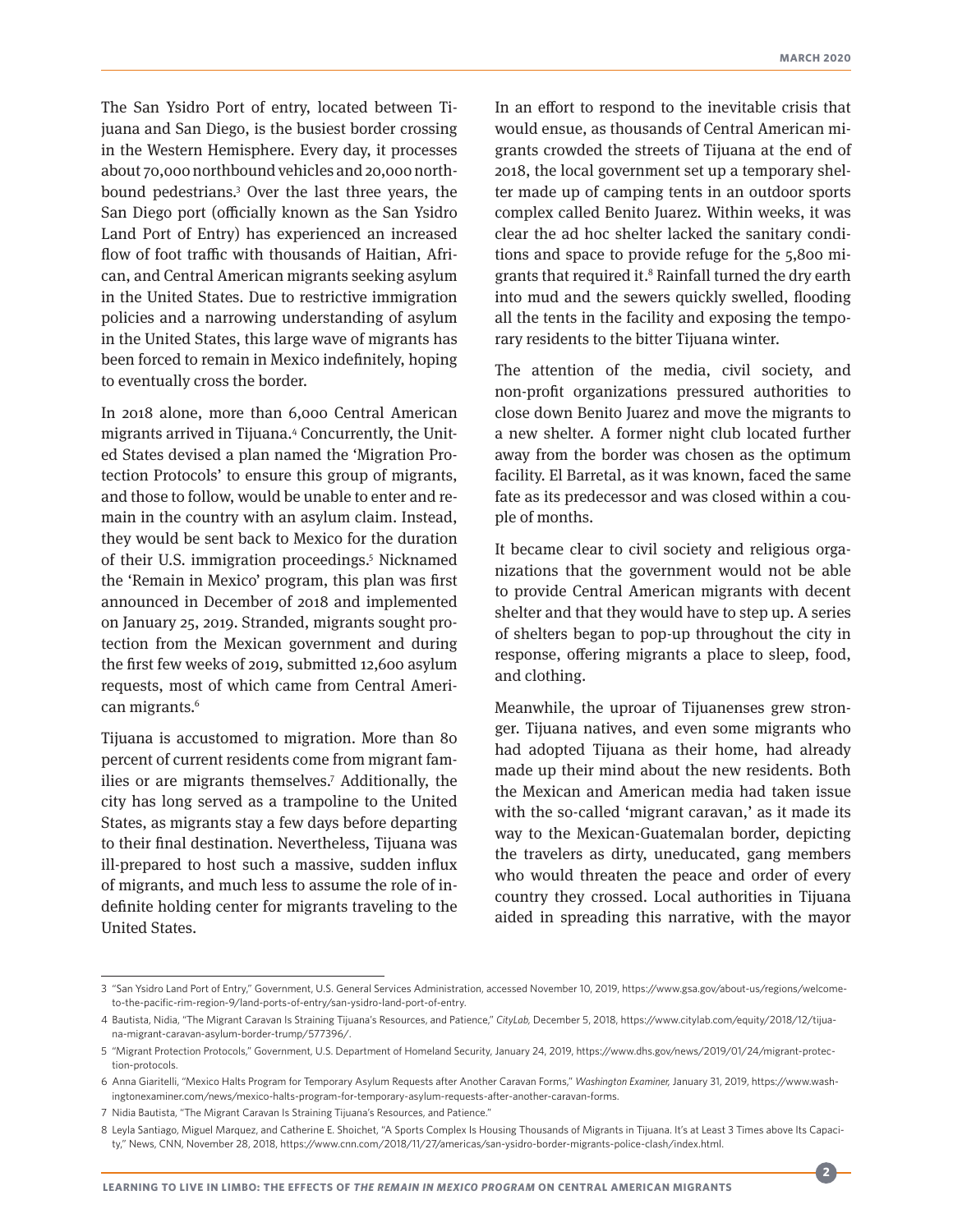The San Ysidro Port of entry, located between Tijuana and San Diego, is the busiest border crossing in the Western Hemisphere. Every day, it processes about 70,000 northbound vehicles and 20,000 northbound pedestrians.3 Over the last three years, the San Diego port (officially known as the San Ysidro Land Port of Entry) has experienced an increased flow of foot traffic with thousands of Haitian, African, and Central American migrants seeking asylum in the United States. Due to restrictive immigration policies and a narrowing understanding of asylum in the United States, this large wave of migrants has been forced to remain in Mexico indefinitely, hoping to eventually cross the border.

In 2018 alone, more than 6,000 Central American migrants arrived in Tijuana.4 Concurrently, the United States devised a plan named the 'Migration Protection Protocols' to ensure this group of migrants, and those to follow, would be unable to enter and remain in the country with an asylum claim. Instead, they would be sent back to Mexico for the duration of their U.S. immigration proceedings.5 Nicknamed the 'Remain in Mexico' program, this plan was first announced in December of 2018 and implemented on January 25, 2019. Stranded, migrants sought protection from the Mexican government and during the first few weeks of 2019, submitted 12,600 asylum requests, most of which came from Central American migrants.<sup>6</sup>

Tijuana is accustomed to migration. More than 80 percent of current residents come from migrant families or are migrants themselves.<sup>7</sup> Additionally, the city has long served as a trampoline to the United States, as migrants stay a few days before departing to their final destination. Nevertheless, Tijuana was ill-prepared to host such a massive, sudden influx of migrants, and much less to assume the role of indefinite holding center for migrants traveling to the United States.

In an effort to respond to the inevitable crisis that would ensue, as thousands of Central American migrants crowded the streets of Tijuana at the end of 2018, the local government set up a temporary shelter made up of camping tents in an outdoor sports complex called Benito Juarez. Within weeks, it was clear the ad hoc shelter lacked the sanitary conditions and space to provide refuge for the 5,800 migrants that required it.8 Rainfall turned the dry earth into mud and the sewers quickly swelled, flooding all the tents in the facility and exposing the temporary residents to the bitter Tijuana winter.

The attention of the media, civil society, and non-profit organizations pressured authorities to close down Benito Juarez and move the migrants to a new shelter. A former night club located further away from the border was chosen as the optimum facility. El Barretal, as it was known, faced the same fate as its predecessor and was closed within a couple of months.

It became clear to civil society and religious organizations that the government would not be able to provide Central American migrants with decent shelter and that they would have to step up. A series of shelters began to pop-up throughout the city in response, offering migrants a place to sleep, food, and clothing.

Meanwhile, the uproar of Tijuanenses grew stronger. Tijuana natives, and even some migrants who had adopted Tijuana as their home, had already made up their mind about the new residents. Both the Mexican and American media had taken issue with the so-called 'migrant caravan,' as it made its way to the Mexican-Guatemalan border, depicting the travelers as dirty, uneducated, gang members who would threaten the peace and order of every country they crossed. Local authorities in Tijuana aided in spreading this narrative, with the mayor

**2**

<sup>3</sup> "San Ysidro Land Port of Entry," Government, U.S. General Services Administration, accessed November 10, 2019, https://www.gsa.gov/about-us/regions/welcometo-the-pacific-rim-region-9/land-ports-of-entry/san-ysidro-land-port-of-entry.

<sup>4</sup> Bautista, Nidia, "The Migrant Caravan Is Straining Tijuana's Resources, and Patience," *CityLab,* December 5, 2018, https://www.citylab.com/equity/2018/12/tijuana-migrant-caravan-asylum-border-trump/577396/.

<sup>5</sup> "Migrant Protection Protocols," Government, U.S. Department of Homeland Security, January 24, 2019, https://www.dhs.gov/news/2019/01/24/migrant-protection-protocols.

<sup>6</sup> Anna Giaritelli, "Mexico Halts Program for Temporary Asylum Requests after Another Caravan Forms," *Washington Examiner,* January 31, 2019, https://www.washingtonexaminer.com/news/mexico-halts-program-for-temporary-asylum-requests-after-another-caravan-forms.

<sup>7</sup> Nidia Bautista, "The Migrant Caravan Is Straining Tijuana's Resources, and Patience."

<sup>8</sup> Leyla Santiago, Miguel Marquez, and Catherine E. Shoichet, "A Sports Complex Is Housing Thousands of Migrants in Tijuana. It's at Least 3 Times above Its Capacity," News, CNN, November 28, 2018, https://www.cnn.com/2018/11/27/americas/san-ysidro-border-migrants-police-clash/index.html.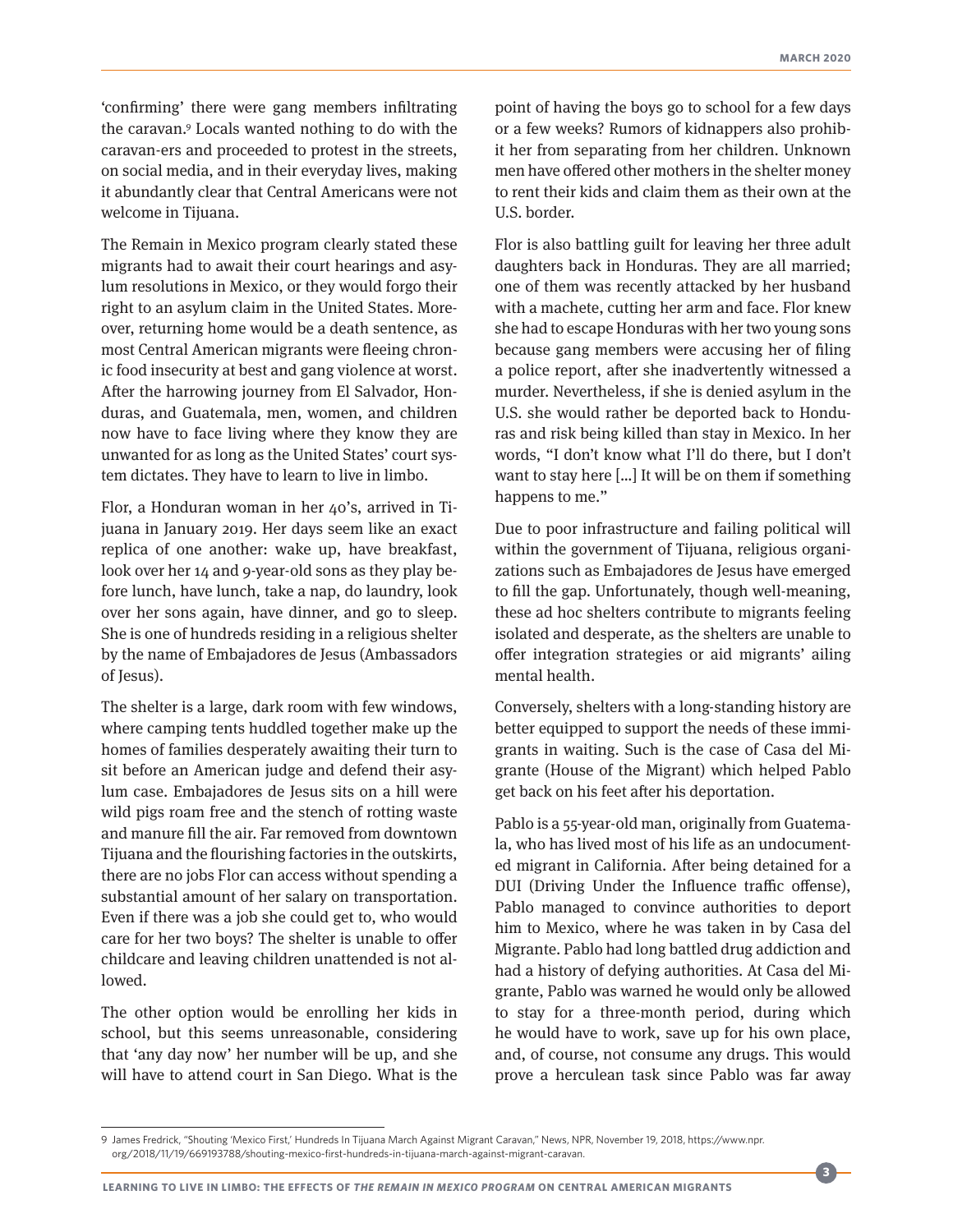'confirming' there were gang members infiltrating the caravan.9 Locals wanted nothing to do with the caravan-ers and proceeded to protest in the streets, on social media, and in their everyday lives, making it abundantly clear that Central Americans were not welcome in Tijuana.

The Remain in Mexico program clearly stated these migrants had to await their court hearings and asylum resolutions in Mexico, or they would forgo their right to an asylum claim in the United States. Moreover, returning home would be a death sentence, as most Central American migrants were fleeing chronic food insecurity at best and gang violence at worst. After the harrowing journey from El Salvador, Honduras, and Guatemala, men, women, and children now have to face living where they know they are unwanted for as long as the United States' court system dictates. They have to learn to live in limbo.

Flor, a Honduran woman in her 40's, arrived in Tijuana in January 2019. Her days seem like an exact replica of one another: wake up, have breakfast, look over her 14 and 9-year-old sons as they play before lunch, have lunch, take a nap, do laundry, look over her sons again, have dinner, and go to sleep. She is one of hundreds residing in a religious shelter by the name of Embajadores de Jesus (Ambassadors of Jesus).

The shelter is a large, dark room with few windows, where camping tents huddled together make up the homes of families desperately awaiting their turn to sit before an American judge and defend their asylum case. Embajadores de Jesus sits on a hill were wild pigs roam free and the stench of rotting waste and manure fill the air. Far removed from downtown Tijuana and the flourishing factories in the outskirts, there are no jobs Flor can access without spending a substantial amount of her salary on transportation. Even if there was a job she could get to, who would care for her two boys? The shelter is unable to offer childcare and leaving children unattended is not allowed.

The other option would be enrolling her kids in school, but this seems unreasonable, considering that 'any day now' her number will be up, and she will have to attend court in San Diego. What is the

point of having the boys go to school for a few days or a few weeks? Rumors of kidnappers also prohibit her from separating from her children. Unknown men have offered other mothers in the shelter money to rent their kids and claim them as their own at the U.S. border.

Flor is also battling guilt for leaving her three adult daughters back in Honduras. They are all married; one of them was recently attacked by her husband with a machete, cutting her arm and face. Flor knew she had to escape Honduras with her two young sons because gang members were accusing her of filing a police report, after she inadvertently witnessed a murder. Nevertheless, if she is denied asylum in the U.S. she would rather be deported back to Honduras and risk being killed than stay in Mexico. In her words, "I don't know what I'll do there, but I don't want to stay here […] It will be on them if something happens to me."

Due to poor infrastructure and failing political will within the government of Tijuana, religious organizations such as Embajadores de Jesus have emerged to fill the gap. Unfortunately, though well-meaning, these ad hoc shelters contribute to migrants feeling isolated and desperate, as the shelters are unable to offer integration strategies or aid migrants' ailing mental health.

Conversely, shelters with a long-standing history are better equipped to support the needs of these immigrants in waiting. Such is the case of Casa del Migrante (House of the Migrant) which helped Pablo get back on his feet after his deportation.

Pablo is a 55-year-old man, originally from Guatemala, who has lived most of his life as an undocumented migrant in California. After being detained for a DUI (Driving Under the Influence traffic offense), Pablo managed to convince authorities to deport him to Mexico, where he was taken in by Casa del Migrante. Pablo had long battled drug addiction and had a history of defying authorities. At Casa del Migrante, Pablo was warned he would only be allowed to stay for a three-month period, during which he would have to work, save up for his own place, and, of course, not consume any drugs. This would prove a herculean task since Pablo was far away

**3**

<sup>9</sup> James Fredrick, "Shouting 'Mexico First,' Hundreds In Tijuana March Against Migrant Caravan," News, NPR, November 19, 2018, https://www.npr. org/2018/11/19/669193788/shouting-mexico-first-hundreds-in-tijuana-march-against-migrant-caravan.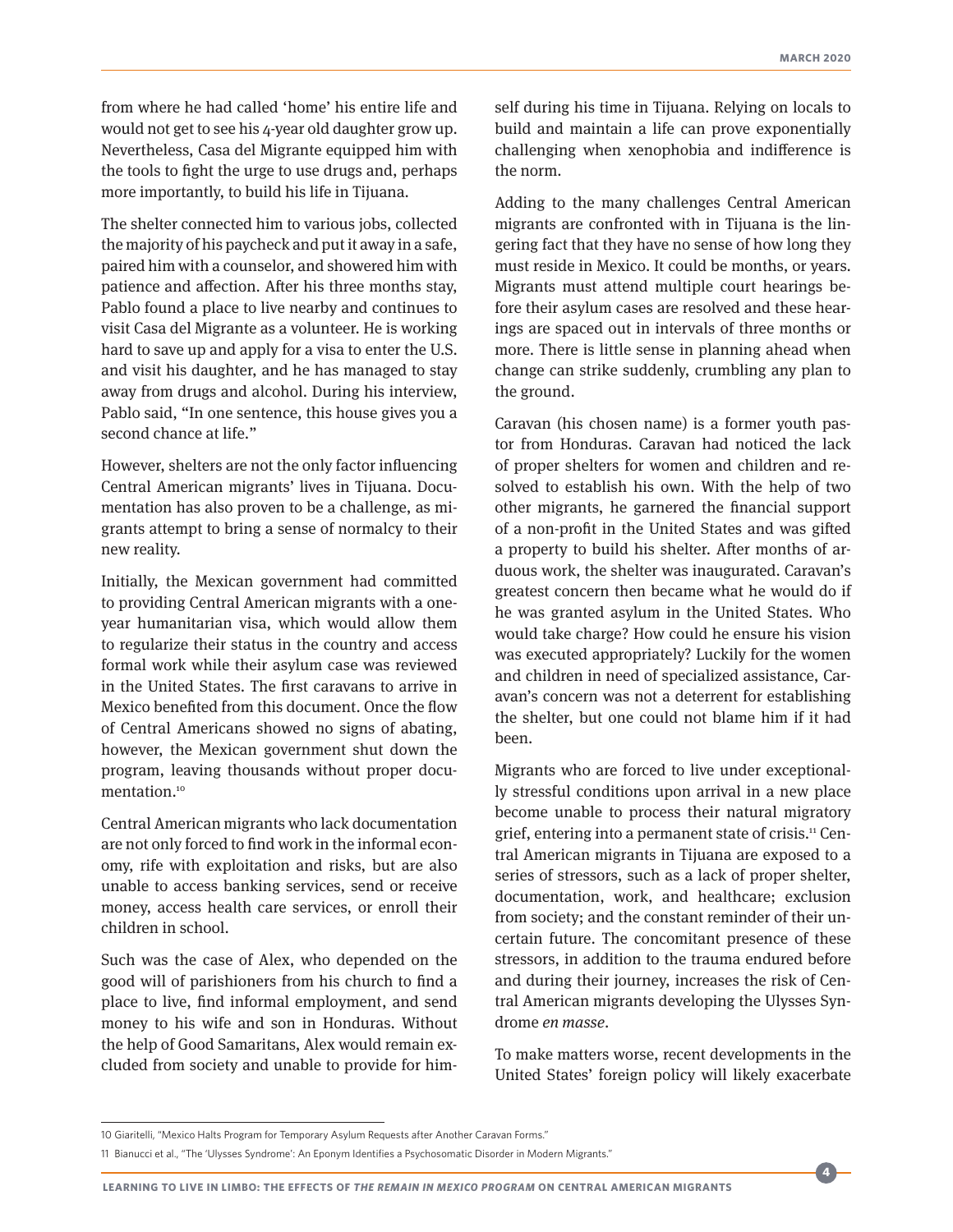from where he had called 'home' his entire life and would not get to see his 4-year old daughter grow up. Nevertheless, Casa del Migrante equipped him with the tools to fight the urge to use drugs and, perhaps more importantly, to build his life in Tijuana.

The shelter connected him to various jobs, collected the majority of his paycheck and put it away in a safe, paired him with a counselor, and showered him with patience and affection. After his three months stay, Pablo found a place to live nearby and continues to visit Casa del Migrante as a volunteer. He is working hard to save up and apply for a visa to enter the U.S. and visit his daughter, and he has managed to stay away from drugs and alcohol. During his interview, Pablo said, "In one sentence, this house gives you a second chance at life."

However, shelters are not the only factor influencing Central American migrants' lives in Tijuana. Documentation has also proven to be a challenge, as migrants attempt to bring a sense of normalcy to their new reality.

Initially, the Mexican government had committed to providing Central American migrants with a oneyear humanitarian visa, which would allow them to regularize their status in the country and access formal work while their asylum case was reviewed in the United States. The first caravans to arrive in Mexico benefited from this document. Once the flow of Central Americans showed no signs of abating, however, the Mexican government shut down the program, leaving thousands without proper documentation.10

Central American migrants who lack documentation are not only forced to find work in the informal economy, rife with exploitation and risks, but are also unable to access banking services, send or receive money, access health care services, or enroll their children in school.

Such was the case of Alex, who depended on the good will of parishioners from his church to find a place to live, find informal employment, and send money to his wife and son in Honduras. Without the help of Good Samaritans, Alex would remain excluded from society and unable to provide for himself during his time in Tijuana. Relying on locals to build and maintain a life can prove exponentially challenging when xenophobia and indifference is the norm.

Adding to the many challenges Central American migrants are confronted with in Tijuana is the lingering fact that they have no sense of how long they must reside in Mexico. It could be months, or years. Migrants must attend multiple court hearings before their asylum cases are resolved and these hearings are spaced out in intervals of three months or more. There is little sense in planning ahead when change can strike suddenly, crumbling any plan to the ground.

Caravan (his chosen name) is a former youth pastor from Honduras. Caravan had noticed the lack of proper shelters for women and children and resolved to establish his own. With the help of two other migrants, he garnered the financial support of a non-profit in the United States and was gifted a property to build his shelter. After months of arduous work, the shelter was inaugurated. Caravan's greatest concern then became what he would do if he was granted asylum in the United States. Who would take charge? How could he ensure his vision was executed appropriately? Luckily for the women and children in need of specialized assistance, Caravan's concern was not a deterrent for establishing the shelter, but one could not blame him if it had been.

Migrants who are forced to live under exceptionally stressful conditions upon arrival in a new place become unable to process their natural migratory grief, entering into a permanent state of crisis.11 Central American migrants in Tijuana are exposed to a series of stressors, such as a lack of proper shelter, documentation, work, and healthcare; exclusion from society; and the constant reminder of their uncertain future. The concomitant presence of these stressors, in addition to the trauma endured before and during their journey, increases the risk of Central American migrants developing the Ulysses Syndrome *en masse*.

To make matters worse, recent developments in the United States' foreign policy will likely exacerbate

**4**

<sup>10</sup> Giaritelli, "Mexico Halts Program for Temporary Asylum Requests after Another Caravan Forms."

<sup>11</sup> Bianucci et al., "The 'Ulysses Syndrome': An Eponym Identifies a Psychosomatic Disorder in Modern Migrants."